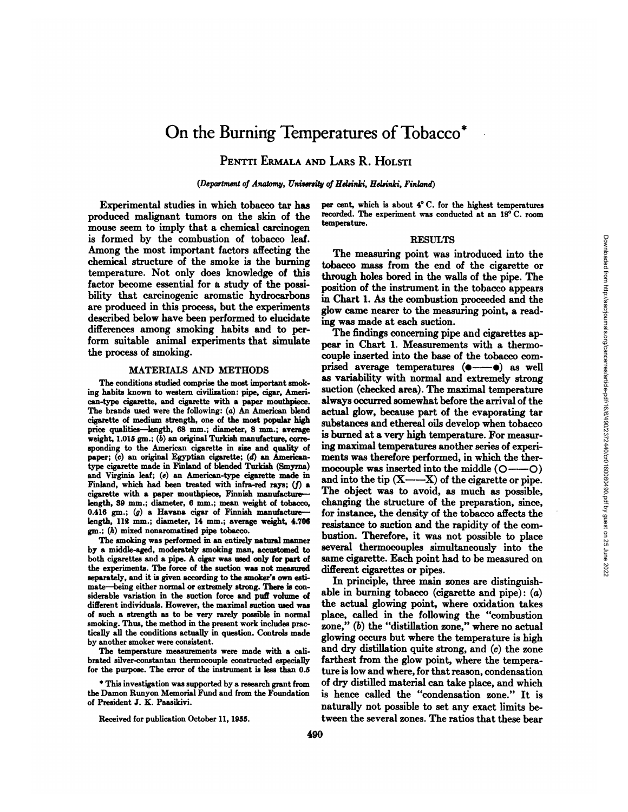# On the Burning Temperatures of Tobacco<sup>\*</sup>

## PENTTI ERMALA AND LARS R. HOLSTI

*(Department of Anatomy, University of Helsinki, Helsinki, Finland)*

Experimental studies in which tobacco tar has produced malignant tumors on the skin of the mouse seem to imply that a chemical carcinogen is formed by the combustion of tobacco leaf. Among the most important factors affecting the chemical structure of the smoke is the burning temperature. Not only does knowledge of this factor become essential for a study of the possi bility that carcinogenic aromatic hydrocarbons are produced in this process, but the experiments described below have been performed to elucidate differences among smoking habits and to per form suitable animal experiments that simulate the process of smoking.

### MATERIALS AND METHODS

The conditions studied comprise the most important smok ing habits known to western civilization: pipe, cigar, Ameri can-type cigarette, and cigarette with a paper mouthpiece. The brands used were the following: (a) An American blend cigarette of medium strength, one of the most popular high price qualities—length, 68 mm.; diameter, 8 mm.; average weight,  $1.015$  gm.; ( $b$ ) an original Turkish manufacture, corresponding to the American cigarette in size and quality of paper; (c) an original Egyptian cigarette; (d) an Americantype cigarette made in Finland of blended Turkish (Smyrna) and Virginia leaf; (e) an American-type cigarette made in Finland, which had been treated with infra-red rays;  $(f)$  a cigarette with a paper mouthpiece, Finnish manufacture length, 39 mm.; diameter, 6 mm.; mean weight of tobacco, 0.416 gm.;  $(g)$  a Havana cigar of Finnish manufacture length, 112 mm.; diameter, 14 mm.; average weight, 4.706 gm.; (h) mixed nonaromatized pipe tobacco.

The smoking was performed in an entirely natural manner by <sup>a</sup> middle-aged, moderately smoking man, accustomed to both cigarettes and a pipe. A cigar was used only for part of the experiments. The force of the suction was not measured separately, and it is given according to the smoker's own esti mate—being either normal or extremely strong. There is considerable variation in the suction force and puff volume of different individuals. However, the maximal suction used was of such a strength as to be very rarely possible in normal smoking. Thus, the method in the present work includes prac tically all the conditions actually in question. Controls made by another smoker were consistent.

The temperature measurements were made with a cali brated silver-constantan thermocouple constructed especially for the purpose. The error of the instrument is less than 0.5

\* This investigation was supported by a research grant from the Damon Runyon Memorial Fund and from the Foundation of President J. K. Paasikivi.

Received for publication October 11, 1955.

per cent, which is about 4°C. for the highest temperatures recorded. The experiment was conducted at an 18°C. room temperature.

### RESULTS

The measuring point was introduced into the tobacco mass from the end of the cigarette or through holes bored in the walls of the pipe. The position of the instrument in the tobacco appears in Chart 1. As the combustion proceeded and the glow came nearer to the measuring point, a read ing was made at each suction.

The findings concerning pipe and cigarettes ap pear in Chart 1. Measurements with a thermo couple inserted into the base of the tobacco com prised average temperatures ( $\bullet$ — $\bullet$ ) as well as variability with normal and extremely strong suction (checked area). The maximal temperature always occurred somewhat before the arrival of the actual glow, because part of the evaporating tar substances and ethereal oils develop when tobacco is burned at a very high temperature. For measur ing maximal temperatures another series of experi ments was therefore performed, in which the ther mocouple was inserted into the middle  $(O \rightarrow O)$ and into the tip  $(X \rightarrow X)$  of the cigarette or pipe. The object was to avoid, as much as possible, changing the structure of the preparation, since, for instance, the density of the tobacco affects the resistance to suction and the rapidity of the com bustion. Therefore, it was not possible to place several thermocouples simultaneously into the same cigarette. Each point had to be measured on different cigarettes or pipes.

In principle, three main zones are distinguish able in burning tobacco (cigarette and pipe):  $(a)$ the actual glowing point, where oxidation takes place, called in the following the "combustion zone," (b) the "distillation zone," where no actual glowing occurs but where the temperature is high and dry distillation quite strong, and (c) the zone farthest from the glow point, where the tempera ture is low and where, for that reason, condensation of dry distilled material can take place, and which is hence called the "condensation zone." It is naturally not possible to set any exact limits be tween the several zones. The ratios that these bear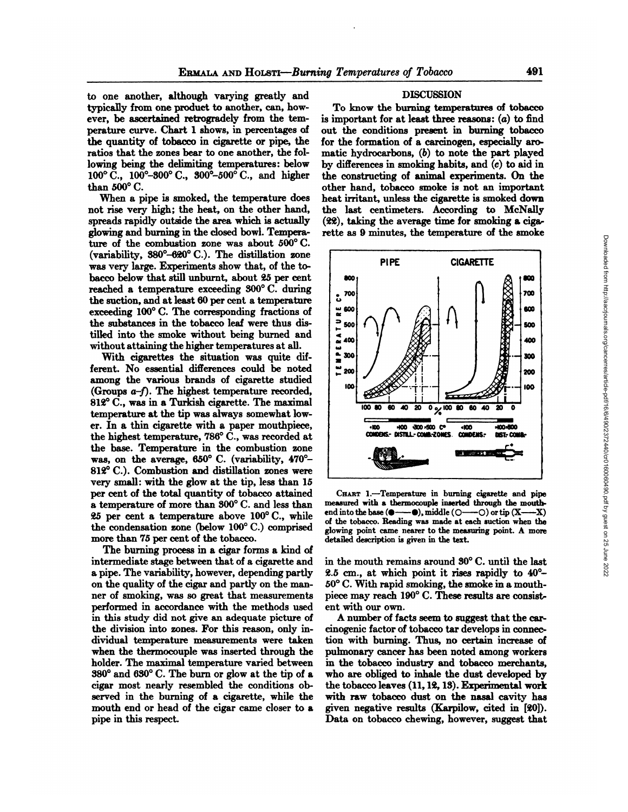to one another, although varying greatly and typically from one product to another, can, how ever, be ascertained retrogradely from the tem perature curve. Chart 1 shows, in percentages of the quantity of tobacco in cigarette or pipe, the ratios that the zones bear to one another, the fol lowing being the delimiting temperatures: below 100°C., 100°-300°C., 300°-500°C., and higher than 500°C.

When a pipe is smoked, the temperature does not rise very high; the heat, on the other hand, spreads rapidly outside the area which is actually glowing and burning in the closed bowl. Tempera ture of the combustion zone was about 500°C. (variability, 380°-620° C.). The distillation zone was very large. Experiments show that, of the to bacco below that still unburnt, about <sup>25</sup> per cent reached <sup>a</sup> temperature exceeding 300°C. during the suction, and at least 60 per cent a temperature<br>exceeding 100° C. The corresponding fractions of  $\frac{u}{\alpha}$  600 exceeding 100°C. The corresponding fractions of the substances in the tobacco leaf were thus dis tilled into the smoke without being burned and without attaining the higher temperatures at all.

With cigarettes the situation was quite dif ferent. No essential differences could be noted |  $\frac{1}{6}$  200 among the various brands of cigarette studied (Groups  $a-f$ ). The highest temperature recorded, 812°C., was in a Turkish cigarette. The maximal temperature at the tip was always somewhat low er. In <sup>a</sup> thin cigarette with <sup>a</sup> paper mouthpiece, the highest temperature, 786°C., was recorded at the base. Temperature in the combustion zone was, on the average, 650°C. (variability, 470°- 812°C.). Combustion and distillation zones were very small: with the glow at the tip, less than 15 per cent of the total quantity of tobacco attained a temperature of more than 300°C. and less than 25 per cent a temperature above 100°C., while the condensation zone (below 100°C.) comprised more than 75 per cent of the tobacco.

The burning process in a cigar forms a kind of intermediate stage between that of a cigarette and a pipe. The variability, however, depending partly on the quality of the cigar and partly on the man ner of smoking, was so great that measurements performed in accordance with the methods used in this study did not give an adequate picture of the division into zones. For this reason, only in dividual temperature measurements were taken when the thermocouple was inserted through the holder. The maximal temperature varied between 380° and 630° C. The burn or glow at the tip of a cigar most nearly resembled the conditions ob served in the burning of a cigarette, while the mouth end or head of the cigar came closer to a pipe in this respect.

### DISCUSSION

To know the burning temperatures of tobacco is important for at least three reasons:  $(a)$  to find out the conditions present in burning tobacco for the formation of a carcinogen, especially aro matic hydrocarbons,  $(b)$  to note the part played by differences in smoking habits, and (c) to aid in the constructing of animal experiments. On the other hand, tobacco smoke is not an important heat irritant, unless the cigarette is smoked down the last centimeters. According to McNally (22), taking the average time for smoking a ciga rette as 9 minutes, the temperature of the smoke



CHART 1.-Temperature in burning cigarette and pipe measured with a thermocouple inserted through the mouthend into the base  $( \bullet \longrightarrow \bullet)$ , middle  $( \circ \longrightarrow \circ)$  or tip  $(X \longrightarrow X)$ of the tobacco. Reading was made ateach suction when the glowing point came nearer to the measuring point. A more detailed description is given in the text.

in the mouth remains around 30°C. until the last 2.5 cm., at which point it rises rapidly to 40°- 50°C. With rapid smoking, the smoke in a mouth piece may reach 190°C. These results are consist ent with our own.

A number of facts seem to suggest that the car cinogenic factor of tobacco tar develops in connec tion with burning. Thus, no certain increase of pulmonary cancer has been noted among workers in the tobacco industry and tobacco merchants, who are obliged to inhale the dust developed by the tobacco leaves (11,12,13). Experimental work with raw tobacco dust on the nasal cavity has given negative results (Karpilow, cited in [20]). Data on tobacco chewing, however, suggest that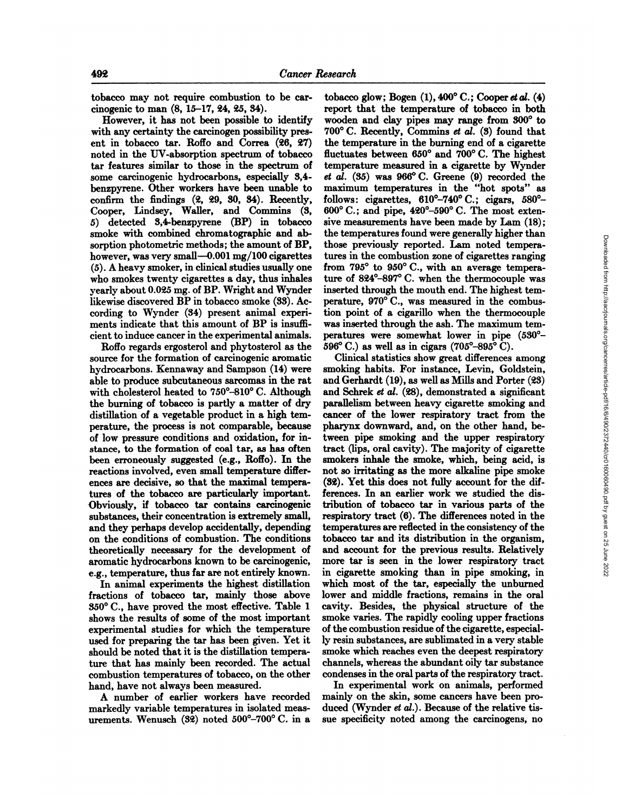tobacco may not require combustion to be car cinogenic to man (8, 15-17, 24, 25, 34).

However, it has not been possible to identify with any certainty the carcinogen possibility pres ent in tobacco tar. Roffo and Correa  $(26, 27)$  the temperature in the burning end of a cigarette noted in the UV-absorption spectrum of tobacco fluctuates between  $650^{\circ}$  and  $700^{\circ}$  C. The highest noted in the UV-absorption spectrum of tobacco tar features similar to those in the spectrum of temperature measured in a cigarette by Wynder<br>some carcinogenic hydrocarbons, especially  $3.4-et \ al.$  (35) was  $966^{\circ}$ C. Greene (9) recorded the some carcinogenic hydrocarbons, especially 3,4 benzpyrene. Other workers have been unable to confirm the findings (2, 29, 30, 34). Recently, Cooper, Lindsey, Waller, and Commins (3, 5) detected 3,4-benzpyrene (BP) in tobacco smoke with combined Chromatographie and ab sorption photometric methods; the amount of BP, however, was very small—0.001mg/100 cigarettes  $(5)$ . A heavy smoker, in clinical studies usually one from  $795^{\circ}$  to  $950^{\circ}$  C., with an average temperawho smokes twenty cigarettes a day, thus inhales yearly about 0.025 mg. of BP. Wright and Wynder likewise discovered BP in tobacco smoke (33). Ac cording to Wynder (34) present animal experi ments indicate that this amount of BP is insufficient to induce cancer in the experimental animals.

Roffo regards ergosterol and phytosterol as the source for the formation of carcinogenic aromatic hydrocarbons. Kennaway and Sampson (14) were able to produce subcutaneous sarcomas in the rat with cholesterol heated to 750°-810° C. Although the burning of tobacco is partly a matter of dry distillation of a vegetable product in a high tem perature, the process is not comparable, because of low pressure conditions and oxidation, for in stance, to the formation of coal tar, as has often been erroneously suggested (e.g., Roffo). In the reactions involved, even small temperature differ ences are decisive, so that the maximal tempera tures of the tobacco are particularly important. Obviously, if tobacco tar contains carcinogenic substances, their concentration is extremely small, and they perhaps develop accidentally, depending on the conditions of combustion. The conditions theoretically necessary for the development of aromatic hydrocarbons known to be carcinogenic, e.g., temperature, thus far are not entirely known.

In animal experiments the highest distillation fractions of tobacco tar, mainly those above 350°C., have proved the most effective. Table <sup>1</sup> shows the results of some of the most important experimental studies for which the temperature used for preparing the tar has been given. Yet it should be noted that it is the distillation tempera ture that has mainly been recorded. The actual combustion temperatures of tobacco, on the other hand, have not always been measured.

A number of earlier workers have recorded markedly variable temperatures in isolated meas urements. Wenusch (32) noted 500°-700° C. in a

tobacco glow; Bogen  $(1)$ , 400°C.; Cooper et al.  $(4)$ report that the temperature of tobacco in both wooden and clay pipes may range from 300°to 700°C. Recently, Commins et al. (3) found that the temperature in the burning end of a cigarette  $t$ emperature measured in a cigarette by Wynder maximum temperatures in the "hot spots" as follows: cigarettes,  $610^{\circ} - 740^{\circ}$  C.; cigars,  $580^{\circ} -$ 600°C.; and pipe, 420°-590°C.The most exten sive measurements have been made by Lam (18); the temperatures found were generally higher than those previously reported. Lam noted tempera tures in the combustion zone of cigarettes ranging ture of 824°-897° C. when the thermocouple was inserted through the mouth end. The highest tem perature, 970°C., was measured in the combus tion point of a cigarillo when the thermocouple was inserted through the ash. The maximum tem peratures were somewhat lower in pipe (530°- 596 $^{\circ}$  C.) as well as in cigars (705 $^{\circ}$ -895 $^{\circ}$  C).

Clinical statistics show great differences among smoking habits. For instance, Levin, Goldstein, and Gerhardt (19), as well as Mills and Porter (23) and Schrek et al. (28), demonstrated a significant parallelism between heavy cigarette smoking and cancer of the lower respiratory tract from the pharynx downward, and, on the other hand, be tween pipe smoking and the upper respiratory tract Gips, oral cavity). The majority of cigarette smokers inhale the smoke, which, being acid, is not so irritating as the more alkaline pipe smoke (32). Yet this does not fully account for the dif ferences. In an earlier work we studied the dis tribution of tobacco tar in various parts of the respiratory tract (6). The differences noted in the temperatures are reflected in the consistency of the tobacco tar and its distribution in the organism, and account for the previous results. Relatively more tar is seen in the lower respiratory tract in cigarette smoking than in pipe smoking, in which most of the tar, especially the unburned lower and middle fractions, remains in the oral cavity. Besides, the physical structure of the smoke varies. The rapidly cooling upper fractions of the combustion residue of the cigarette, especial ly resin substances, are sublimated in a very stable smoke which reaches even the deepest respiratory channels, whereas the abundant oily tarsubstance condenses in the oral parts of the respiratory tract.

In experimental work on animals, performed mainly on the skin, some cancers have been pro duced (Wynder et al.). Because of the relative tissue specificity noted among the carcinogens, no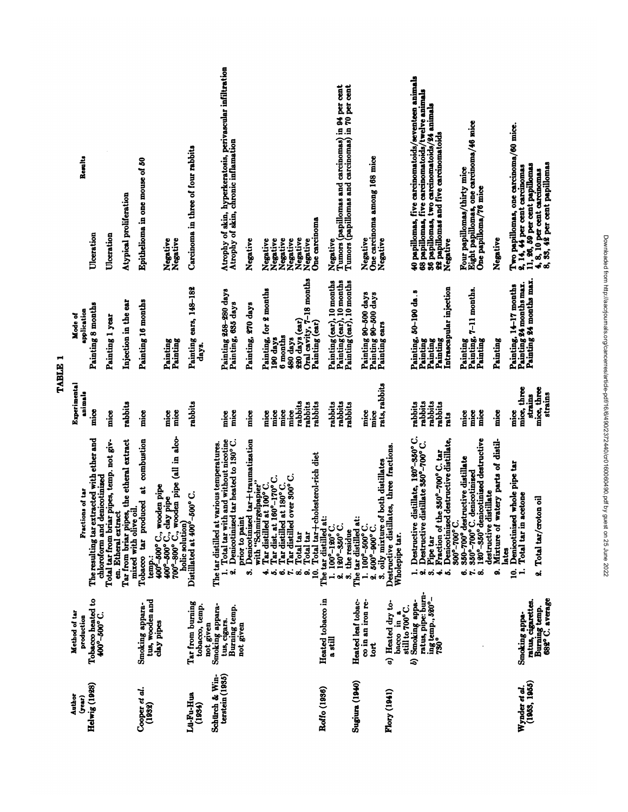| Results                     |                                                                               |                                                                   | Atypical proliferation                                             | Epithelioma in one mouse of 50        |                                                                                                                                                                             | Carcinoma in three of four rabbits              | Atrophy of skin, hyperkeratosis, perivascular infiltration<br>Atrophy of skin, chronic inflamation                            |                                                          |                                                       |                                 |                                                                             |                              |                                                            |                       | Negative<br>Tumors (papillomas and carcinomas) in 94 per cent<br>Tumors (papillomas and carcinomas) in 70 per cent |                       | One carcinoma among 168 mice                                                          |                                                                  | 40 papillomas, five carcinomatoids/seventeen animals<br>68 papillomas, five carcinomatoids/twelve animals<br>36 papillomas, two carcinomatoids/24 animals<br>22 papillomas and five carcinomatoids                                    | Eight papillomas, one carcinoma/46 mice<br>One papilloma/76 mice<br>Four papillomas/thirty mice                                             |                                                                                   | Two papillomas, one carcinoma/60 mice.<br>$2, 14, 44$ per cent carcinomas<br>11, 26, 59 per cent papillomas | 4, 8, 10 per cent carcinomas<br>8, 33, 42 per cent papillomas |
|-----------------------------|-------------------------------------------------------------------------------|-------------------------------------------------------------------|--------------------------------------------------------------------|---------------------------------------|-----------------------------------------------------------------------------------------------------------------------------------------------------------------------------|-------------------------------------------------|-------------------------------------------------------------------------------------------------------------------------------|----------------------------------------------------------|-------------------------------------------------------|---------------------------------|-----------------------------------------------------------------------------|------------------------------|------------------------------------------------------------|-----------------------|--------------------------------------------------------------------------------------------------------------------|-----------------------|---------------------------------------------------------------------------------------|------------------------------------------------------------------|---------------------------------------------------------------------------------------------------------------------------------------------------------------------------------------------------------------------------------------|---------------------------------------------------------------------------------------------------------------------------------------------|-----------------------------------------------------------------------------------|-------------------------------------------------------------------------------------------------------------|---------------------------------------------------------------|
|                             | Ulceration                                                                    | Ulceration                                                        |                                                                    |                                       | Negative<br>Negative                                                                                                                                                        |                                                 |                                                                                                                               | Negative                                                 | Negative                                              | Negative                        | Negative<br>Negative                                                        | Negative                     | One carcinoma<br>Negative                                  |                       |                                                                                                                    |                       | Negative<br>Negative                                                                  |                                                                  | Negative                                                                                                                                                                                                                              |                                                                                                                                             | Negative                                                                          |                                                                                                             |                                                               |
| Mode of                     | Painting 8 months<br>application                                              | Painting 1 year                                                   | Injection in the ear                                               | Painting 16 months                    | Painting<br>Painting                                                                                                                                                        | Painting ears, 148-182<br>days.                 | Painting 258-280 days<br>Painting, 635 days                                                                                   | Painting, 270 days                                       | Painting, for 2 months                                | 190 days                        | 6 months<br>480 days                                                        | 220 days (car)               | Oral cavity, 7-18 months<br>Painting (ear)                 |                       | Painting (ear), 10 months<br>Painting (ear), 10 months<br>Painting (ear), 10 months                                |                       | Painting 90-500 days<br>Painting 90–500 days<br>Painting ears                         |                                                                  | Intrascapular injection<br>Painting, 50-190 da.s<br>Painting<br>Painting<br>Painting                                                                                                                                                  | Painting, 7-11 months.<br>Painting<br>Painting                                                                                              | Painting                                                                          | Painting 24 months max.<br>Painting, 14-17 months                                                           | Painting 24 months max.                                       |
| Experimental                | animals<br>$_{\rm{mce}}$                                                      | mice                                                              | rabbits                                                            | nice                                  | $_{\rm{micro}}$<br>nice                                                                                                                                                     | rabbits                                         | mice<br>mice                                                                                                                  | $\frac{1}{2}$                                            | nice                                                  | $_{\rm{max}}$                   | mice<br>mice                                                                | rabbits                      | rabbits<br>rabbits                                         |                       | rabbits<br>rabbits<br>rabbits                                                                                      |                       | rats, rabbits<br>mice<br>$_{\rm{mice}}$                                               |                                                                  | rabbits<br>rabbits<br>rabbits<br>rabbits<br>rats                                                                                                                                                                                      | mice<br>mice<br>$rac{3}{4}$                                                                                                                 | nice                                                                              | mice, three<br>nice                                                                                         | mice, three<br>strains<br>strains                             |
| Fractions of tar            | The resulting tar extracted with ether and<br>denicotinized<br>chloroform and | Total tar from briar pipes, temp. not giv-<br>en. Etheral extract | Tar from briar pipes, the etheral extract<br>mixed with olive oil. | combustion<br>Tobacco tar produced at | $400^{\circ}-600^{\circ}$ C., clay pipe call in alcomposed in the section of $\sim$ where pipe (all in alcomposed)<br>temp.:<br>400°–500° C., wooden pipe<br>holic solution | Distillated at 400°-500°C.                      | 1. Total tar with and without nicotine<br>2. Denicotinized tar heated to 130°C.<br>The tar distilled at various temperatures. | Denicotinized tar+traumatization<br>prior to paint<br>တဲ | with "Schmirgelpapier"<br>Tar distilled at 100°C<br>÷ | Tar dist. at 160°-170° C.<br>خه | Tar distilled over 300° C.<br>Tar distilled at 180°C.<br>$\mathbf{r}$<br>c. | Total tar<br>Total tar<br>ဆံ | Total tar+cholesterol-rich diet<br>$\dot{\mathbf{a}}$<br>S | The tar distilled at: | $1.100^{\circ}-120^{\circ}$ C.<br>$120^{\circ} - 350^{\circ}$ C.<br>3. the residue<br>oi                           | The tar distilled at: | oily mixture of both distillates<br>$1.100^{\circ} - 500^{\circ}$ C.<br>2.500°-900°C. | llates, three fractions.<br>Destructive distil<br>Wholepipe tar. | distillate, 120°-350°C.<br>Denicotinized destructive distillate,<br>distillate 350°-700°C.<br>$\ddot{\mathbf{z}}$<br>the 350°-700° C.<br>Destructive<br>Destructive<br>Fraction of<br>Pipe tar<br>نہ نہ<br>$\ddot{\phi}$ $\dot{\phi}$ | 120°-350° denicotinized destructive<br>350-700° destructive distillate<br>350°-700°C. denicotinized<br><b>000°-700°</b><br><b>67.</b><br>ထံ | watery parts of distil-<br>distillate<br>destructive<br>Mixture of<br>lates<br>ၜၨ | Denicotinized whole pipe tar<br>acetone<br>Total tar in<br>S<br>≓                                           | 2. Total tar/croton oil                                       |
| Method of tar<br>production | Tobacco heated to<br>$-500^{\circ}$ -500° C.                                  |                                                                   |                                                                    | tus, wooden and<br>Smoking appara-    | clay pipes                                                                                                                                                                  | Tar from burning<br>tobacco, temp.<br>not given | Smoking appara-<br>Burning temp.<br>tus, cigars.                                                                              | not given                                                |                                                       |                                 |                                                                             |                              |                                                            | Heated tobacco in     | a still                                                                                                            | Heated leaf tobac-    | co in an iron re-<br>ë                                                                | a) Heated dry to-<br>still to 700°C.<br>bacco in a               | ratus, pipe: burn-<br>ing temp., 520°-<br>730°<br>Smoking appa-<br>S)                                                                                                                                                                 |                                                                                                                                             |                                                                                   | Smoking appa-                                                                                               | Burning temp.<br>682° C. average<br>ratus, cigarettes.        |
| Author<br>(year)            | Helwig(1928)                                                                  |                                                                   |                                                                    | Cooper et al.<br>(1932)               |                                                                                                                                                                             | Lu-Fu-Hua<br>(1934)                             | terstein (1935)<br>Schürch & Win-                                                                                             |                                                          |                                                       |                                 |                                                                             |                              |                                                            | Roffo (1936)          |                                                                                                                    | <b>Sugiura</b> (1940) |                                                                                       | Flory (1941)                                                     |                                                                                                                                                                                                                                       |                                                                                                                                             |                                                                                   | Wynder et al.<br>(1963, 1965)                                                                               |                                                               |

TABLE<sub>1</sub>

Downloaded from http://aacrjournals.org/cancerres/article-pdf/16/6/490/2372440/cr0160060490.pdf by guest on 25 June 2022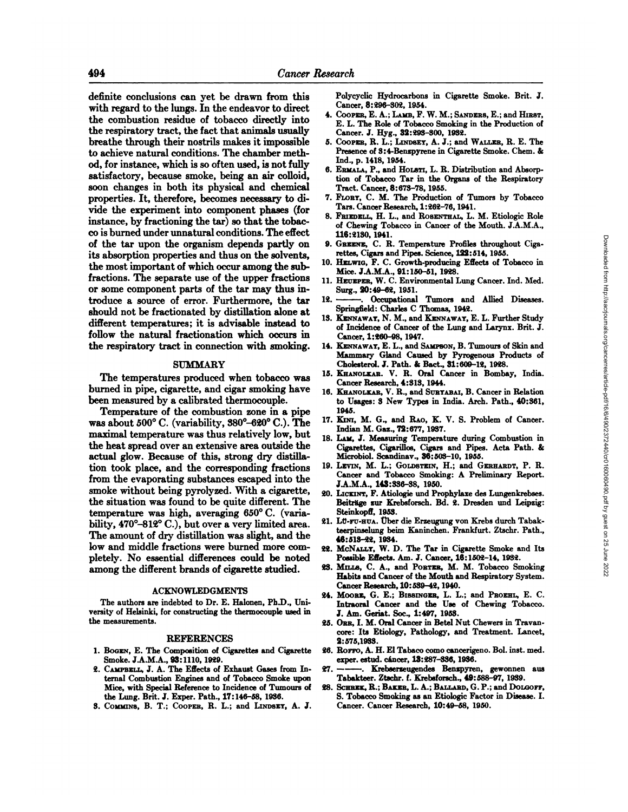definite conclusions can yet be drawn from this with regard to the lungs. In the endeavor to direct the combustion residue of tobacco directly into the respiratory tract, the fact that animals usually breathe through their nostrils makes it impossible to achieve natural conditions. The chamber meth od, for instance, which is so often used, is not fully satisfactory, because smoke, being an air colloid, soon changes in both its physical and chemical properties. It, therefore, becomes necessary to di vide the experiment into component phases (for instance, by fractioning the tar) so that the tobac co is burned under unnatural conditions. The effect of the tar upon the organism depends partly on its absorption properties and thus on the solvents, the most important of which occur among the subfractions. The separate use of the upper fractions or some component parts of the tar may thus in troduce a source of error. Furthermore, the tar should not be fractionated by distillation alone at different temperatures; it is advisable instead to follow the natural fractionation which occurs in the respiratory tract in connection with smoking.

### SUMMARY

The temperatures produced when tobacco was burned in pipe, cigarette, and cigar smoking have been measured by a calibrated thermocouple.

Temperature of the combustion zone in <sup>a</sup> pipe was about 500°C. (variability, 380°-620° C.). The maximal temperature was thus relatively low, but the heat spread over an extensive area outside the actual glow. Because of this, strong dry distilla tion took place, and the corresponding fractions from the evaporating substances escaped into the smoke without being pyrolyzed. With a cigarette, the situation was found to be quite different. The temperature was high, averaging 650°C. (varia bility, 470°-812° C.), but over a very limited area. The amount of dry distillation was slight, and the low and middle fractions were burned more com pletely. No essential differences could be noted among the different brands of cigarette studied.

### ACKNOWLEDGMENTS

The authors are indebted to Dr. E. Halonen, Ph.D., Uni versity of Helsinki, for constructing the thermocouple used in the measurements.

#### REFERENCES

- 1. BOGEN,E. The Composition of Cigarettes and Cigarette Smoke. J.A.M.A., 93:1110, 1929.
- 2. CAMPBELL,J. A. The Effects of Exhaust Gases from In ternal Combustion Engines and of Tobacco Smoke upon Mice, with Special Reference to Incidence of Tumours of 28. the Lung. Brit. J. Exper. Path., 17:146-58, 1936.
- 8. COMMINS, B. T.; COOPER, R. L.; and LINDSEY, A. J.

Polycyclic Hydrocarbons in Cigarette Smoke. Brit. J. Cancer, 8:296-302, 1954.

- 4. COOPER, E. A.; LAMB, F. W. M.; SANDERS, E.; and HIRST, E. L. The Role of Tobacco Smoking in the Production of Cancer. J. Hyg., 32:293-300, 1932.
- 5. COOPER,R. L.; LINDSET,A. J.; and WALLER,R. E. The Presence of 3:4-Benzpyrene in Cigarette Smoke. Chem. & Ind., p. 1418, 1954.
- 6. ERMALA, P., and HOLSTI, L. R. Distribution and Absorption of Tobacco Tar in the Organs of the Respiratory Tract. Cancer, 8:673-78, 1955.
- 7. FLORY, C. M. The Production of Tumors by Tobacco Tars. Cancer Research, 1:262-76,1941.
- 8. FRIEDELL,H. L., and ROSENTHAL,L. M. Etiologic Role of Chewing Tobacco in Cancer of the Mouth. J.A.M.A., 116:2130, 1941.
- 9. GREENE, C. R. Temperature Profiles throughout Ciga rettes, Cigars and Pipes. Science, 122:514, 1955.
- 10. HELWIG,F. C. Growth-producing Effects of Tobacco in Mice. J.A.M.A., 91:150-51, 1928.
- 11. HEUEPER,W. C. Environmental Lung Cancer. Ind. Med. Surg., 20:49-62, 1951.
- Occupational Tumors and Allied Diseases. Springfield: Charles C Thomas, 1942.
- 13. KENNAWAT, N. M., and KENNAWAY, E. L. Further Study of Incidence of Cancer of the Lung and Larynx. Brit. J. Cancer, 1:260-98, 1947.
- 14. KENNAWAT, E. L., and SAMPSON, B. Tumours of Skin and Mammary Gland Caused by Pyrogenous Products of Cholesterol. J. Path. & Bact., 31:609-12, 1928.
- 15. KHANOLKAR.V. R. Oral Cancer in Bombay, India. Cancer Research, 4:313, 1944.
- 16. KHANOLKAR, V. R., and SURTABAI, B. Cancer in Relation to Usages: 3 New Types in India. Arch. Path., 40:361, 1945.
- 17. KINI, M. G., and RAO, K. V. S. Problem of Cancer. Indian M. Gaz., 72:677, 1937.
- 18. LAM, J. Measuring Temperature during Combustion in Cigarettes, Cigarillos, Cigars and Pipes. Acta Path. & Microbiol. Scandinav., 36:503-10, 1955.
- 19. LEVIN, M. L.; GOLDSTEIN, H.; and GERHARDT, P. R. Cancer and Tobacco Smoking: A Preliminary Report. J.A.M.A., 143:336-38, 1950.
- 20. LICKINT,F. Atiologie und Prophylaxe des Lungenkrebses. Beiträge zur Krebsforsch. Bd. 2. Dresden und Leipzig: Steinkopff, 1953.
- 21. LÜ-FU-HUA. Überdie Erzeugung von Krebs durch Tabakteerpinselung beim Kaninchen. Frankfurt. Ztschr. Path., 46:513-22, 1934.
- 22. McNALLY, W. D. The Tar in Cigarette Smoke and Its Possible Effects. Am. J. Cancer, 16:1502-14, 1932.
- 23. MILLS, C. A., and PORTER, M. M. Tobacco Smoking Habits and Cancer of the Mouth and Respiratory System. Cancer Research, 10:539-42,1940.
- 24. MOORE, G. E.; BISSINGER, L. L.; and PROEHL, E. C. Intraoral Cancer and the Use of Chewing Tobacco. J. Am. Geriat. Soc., 1:497, 1953.
- 25. ORR,I. M. Oral Cancer in Betel Nut Chewers in Travan core: Its Etiology, Pathology, and Treatment. Lancet, 2:575,1933.
- 26. Rorro, A. H. El Tabaco como cancerigeno. Bol. inst. med. exper. estud. cáncer,13:287-336, 1936.
- 27. . Krebserzeugendes Benzpyren, gewonnen aus Tabakteer. Ztschr. f. Krebsforsch., 49:588-97, 1939.
- SCHREK, R.; BAKER, L. A.; BALLARD, G. P.; and DOLGOFF, S. Tobacco Smoking as an Etiologic Factor in Disease. I. Cancer. Cancer Research, 10:49-58, 1950.